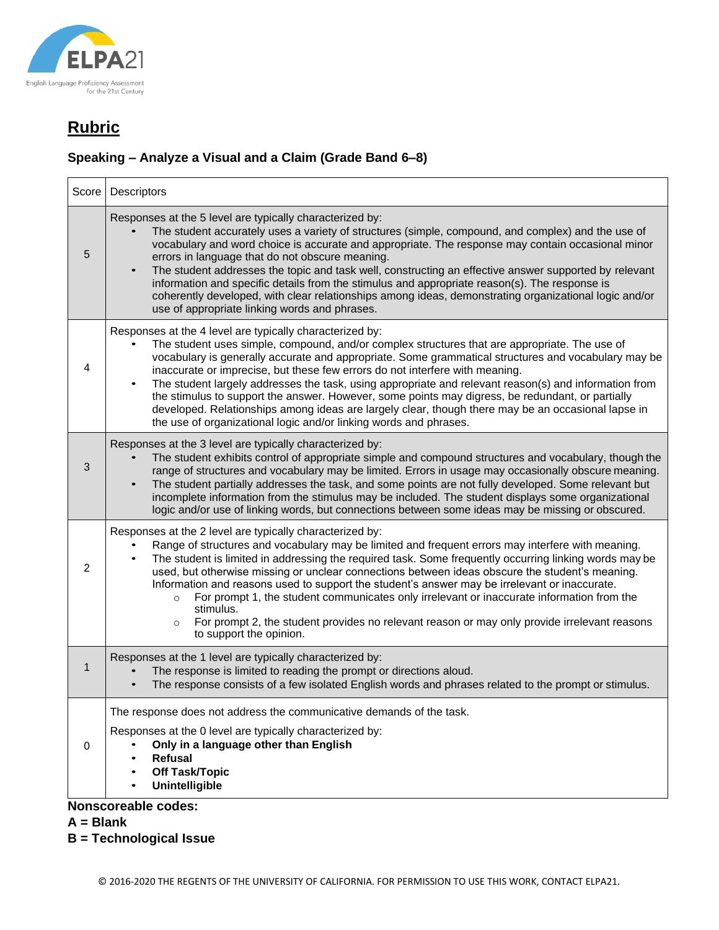

#### **Speaking – Analyze a Visual and a Claim (Grade Band 6–8)**

| Score        | Descriptors                                                                                                                                                                                                                                                                                                                                                                                                                                                                                                                                                                                                                                                                                                                              |  |  |
|--------------|------------------------------------------------------------------------------------------------------------------------------------------------------------------------------------------------------------------------------------------------------------------------------------------------------------------------------------------------------------------------------------------------------------------------------------------------------------------------------------------------------------------------------------------------------------------------------------------------------------------------------------------------------------------------------------------------------------------------------------------|--|--|
| 5            | Responses at the 5 level are typically characterized by:<br>The student accurately uses a variety of structures (simple, compound, and complex) and the use of<br>vocabulary and word choice is accurate and appropriate. The response may contain occasional minor<br>errors in language that do not obscure meaning.<br>The student addresses the topic and task well, constructing an effective answer supported by relevant<br>$\bullet$<br>information and specific details from the stimulus and appropriate reason(s). The response is<br>coherently developed, with clear relationships among ideas, demonstrating organizational logic and/or<br>use of appropriate linking words and phrases.                                  |  |  |
| 4            | Responses at the 4 level are typically characterized by:<br>The student uses simple, compound, and/or complex structures that are appropriate. The use of<br>vocabulary is generally accurate and appropriate. Some grammatical structures and vocabulary may be<br>inaccurate or imprecise, but these few errors do not interfere with meaning.<br>The student largely addresses the task, using appropriate and relevant reason(s) and information from<br>the stimulus to support the answer. However, some points may digress, be redundant, or partially<br>developed. Relationships among ideas are largely clear, though there may be an occasional lapse in<br>the use of organizational logic and/or linking words and phrases. |  |  |
| 3            | Responses at the 3 level are typically characterized by:<br>The student exhibits control of appropriate simple and compound structures and vocabulary, though the<br>range of structures and vocabulary may be limited. Errors in usage may occasionally obscure meaning.<br>The student partially addresses the task, and some points are not fully developed. Some relevant but<br>$\bullet$<br>incomplete information from the stimulus may be included. The student displays some organizational<br>logic and/or use of linking words, but connections between some ideas may be missing or obscured.                                                                                                                                |  |  |
| 2            | Responses at the 2 level are typically characterized by:<br>Range of structures and vocabulary may be limited and frequent errors may interfere with meaning.<br>The student is limited in addressing the required task. Some frequently occurring linking words may be<br>used, but otherwise missing or unclear connections between ideas obscure the student's meaning.<br>Information and reasons used to support the student's answer may be irrelevant or inaccurate.<br>For prompt 1, the student communicates only irrelevant or inaccurate information from the<br>$\circ$<br>stimulus.<br>For prompt 2, the student provides no relevant reason or may only provide irrelevant reasons<br>$\circ$<br>to support the opinion.   |  |  |
| $\mathbf{1}$ | Responses at the 1 level are typically characterized by:<br>The response is limited to reading the prompt or directions aloud.<br>The response consists of a few isolated English words and phrases related to the prompt or stimulus.                                                                                                                                                                                                                                                                                                                                                                                                                                                                                                   |  |  |
| 0            | The response does not address the communicative demands of the task.<br>Responses at the 0 level are typically characterized by:<br>Only in a language other than English<br><b>Refusal</b><br><b>Off Task/Topic</b><br><b>Unintelligible</b>                                                                                                                                                                                                                                                                                                                                                                                                                                                                                            |  |  |
|              | <b>Nonscoreable codes:</b>                                                                                                                                                                                                                                                                                                                                                                                                                                                                                                                                                                                                                                                                                                               |  |  |

**A = Blank**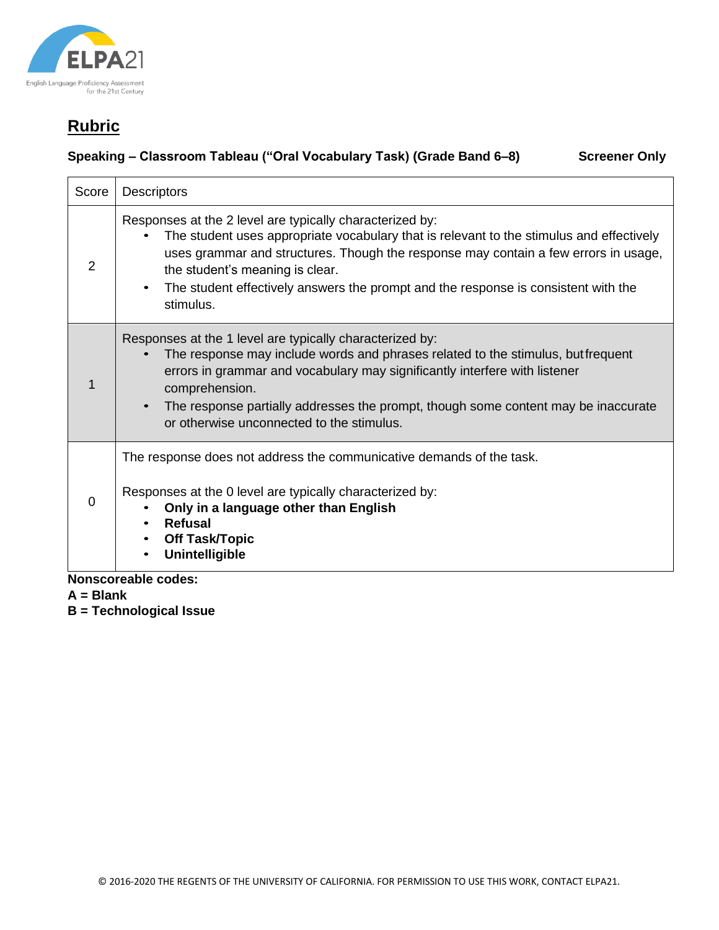

### **Speaking – Classroom Tableau ("Oral Vocabulary Task) (Grade Band 6–8) Screener Only**

| Score    | <b>Descriptors</b>                                                                                                                                                                                                                                                                                                                                                                             |
|----------|------------------------------------------------------------------------------------------------------------------------------------------------------------------------------------------------------------------------------------------------------------------------------------------------------------------------------------------------------------------------------------------------|
| 2        | Responses at the 2 level are typically characterized by:<br>The student uses appropriate vocabulary that is relevant to the stimulus and effectively<br>uses grammar and structures. Though the response may contain a few errors in usage,<br>the student's meaning is clear.<br>The student effectively answers the prompt and the response is consistent with the<br>$\bullet$<br>stimulus. |
|          | Responses at the 1 level are typically characterized by:<br>The response may include words and phrases related to the stimulus, butfrequent<br>errors in grammar and vocabulary may significantly interfere with listener<br>comprehension.<br>The response partially addresses the prompt, though some content may be inaccurate<br>$\bullet$<br>or otherwise unconnected to the stimulus.    |
| $\Omega$ | The response does not address the communicative demands of the task.<br>Responses at the 0 level are typically characterized by:<br>Only in a language other than English<br><b>Refusal</b><br>$\bullet$<br><b>Off Task/Topic</b><br><b>Unintelligible</b>                                                                                                                                     |
|          | يمملكمم ماعلم                                                                                                                                                                                                                                                                                                                                                                                  |

**Nonscoreable codes:**

**A = Blank**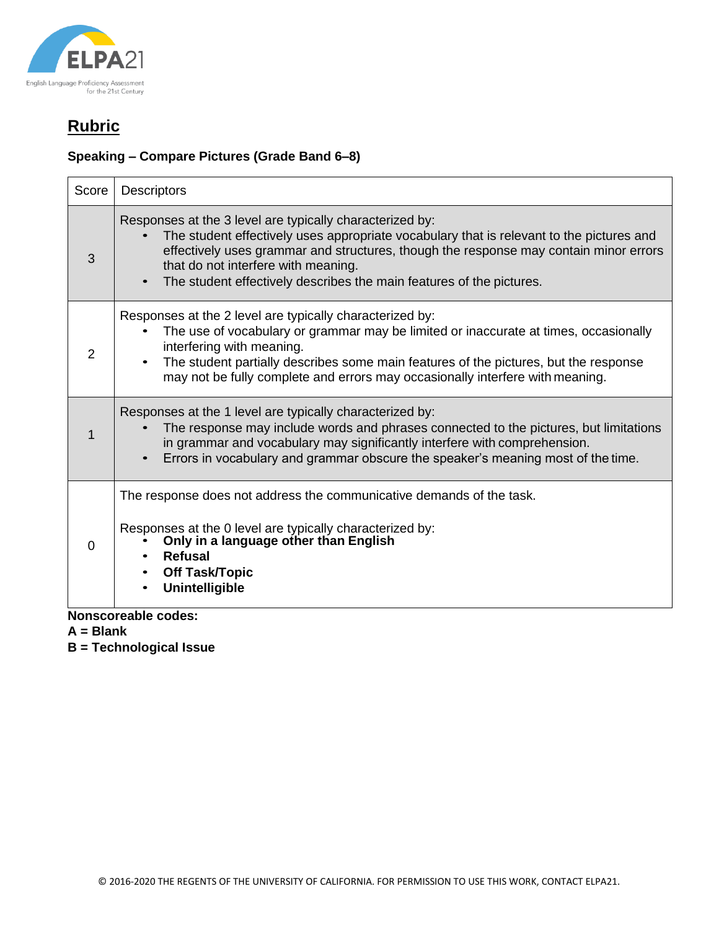

#### **Speaking – Compare Pictures (Grade Band 6–8)**

| Score | <b>Descriptors</b>                                                                                                                                                                                                                                                                                                                                           |
|-------|--------------------------------------------------------------------------------------------------------------------------------------------------------------------------------------------------------------------------------------------------------------------------------------------------------------------------------------------------------------|
| 3     | Responses at the 3 level are typically characterized by:<br>The student effectively uses appropriate vocabulary that is relevant to the pictures and<br>effectively uses grammar and structures, though the response may contain minor errors<br>that do not interfere with meaning.<br>The student effectively describes the main features of the pictures. |
| 2     | Responses at the 2 level are typically characterized by:<br>The use of vocabulary or grammar may be limited or inaccurate at times, occasionally<br>interfering with meaning.<br>The student partially describes some main features of the pictures, but the response<br>may not be fully complete and errors may occasionally interfere with meaning.       |
|       | Responses at the 1 level are typically characterized by:<br>The response may include words and phrases connected to the pictures, but limitations<br>in grammar and vocabulary may significantly interfere with comprehension.<br>Errors in vocabulary and grammar obscure the speaker's meaning most of the time.                                           |
| 0     | The response does not address the communicative demands of the task.<br>Responses at the 0 level are typically characterized by:<br>Only in a language other than English<br><b>Refusal</b><br><b>Off Task/Topic</b><br><b>Unintelligible</b>                                                                                                                |

**Nonscoreable codes:**

**A = Blank**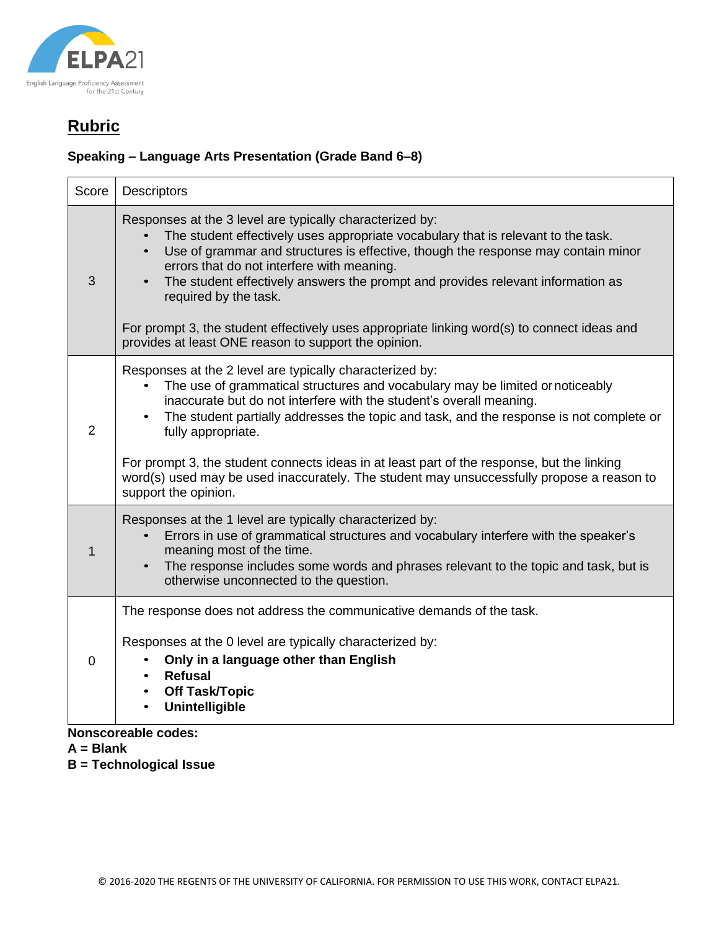

#### **Speaking – Language Arts Presentation (Grade Band 6–8)**

| Score          | Descriptors                                                                                                                                                                                                                                                                                                                                                                                                                                                                                                                                                                   |
|----------------|-------------------------------------------------------------------------------------------------------------------------------------------------------------------------------------------------------------------------------------------------------------------------------------------------------------------------------------------------------------------------------------------------------------------------------------------------------------------------------------------------------------------------------------------------------------------------------|
| 3              | Responses at the 3 level are typically characterized by:<br>The student effectively uses appropriate vocabulary that is relevant to the task.<br>Use of grammar and structures is effective, though the response may contain minor<br>$\bullet$<br>errors that do not interfere with meaning.<br>The student effectively answers the prompt and provides relevant information as<br>$\bullet$<br>required by the task.<br>For prompt 3, the student effectively uses appropriate linking word(s) to connect ideas and<br>provides at least ONE reason to support the opinion. |
| $\overline{2}$ | Responses at the 2 level are typically characterized by:<br>The use of grammatical structures and vocabulary may be limited or noticeably<br>inaccurate but do not interfere with the student's overall meaning.<br>The student partially addresses the topic and task, and the response is not complete or<br>$\bullet$<br>fully appropriate.<br>For prompt 3, the student connects ideas in at least part of the response, but the linking<br>word(s) used may be used inaccurately. The student may unsuccessfully propose a reason to<br>support the opinion.             |
| 1              | Responses at the 1 level are typically characterized by:<br>Errors in use of grammatical structures and vocabulary interfere with the speaker's<br>meaning most of the time.<br>The response includes some words and phrases relevant to the topic and task, but is<br>otherwise unconnected to the question.                                                                                                                                                                                                                                                                 |
| 0              | The response does not address the communicative demands of the task.<br>Responses at the 0 level are typically characterized by:<br>Only in a language other than English<br>Refusal<br><b>Off Task/Topic</b><br><b>Unintelligible</b>                                                                                                                                                                                                                                                                                                                                        |

#### **Nonscoreable codes:**

- **A = Blank**
- **B = Technological Issue**